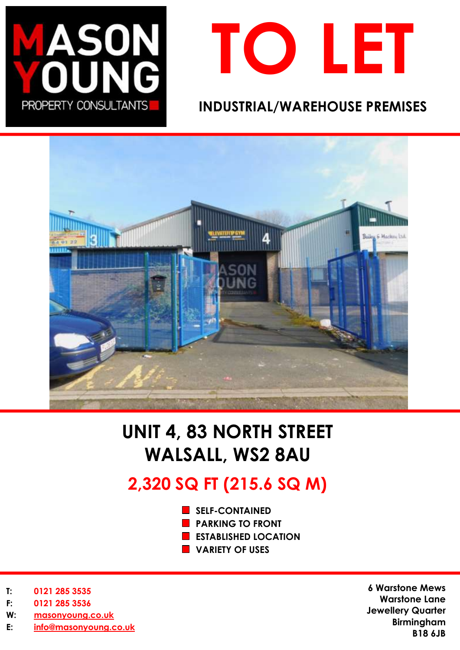



## **INDUSTRIAL/WAREHOUSE PREMISES**



# **UNIT 4, 83 NORTH STREET WALSALL, WS2 8AU**

# **2,320 SQ FT (215.6 SQ M)**

- **SELF-CONTAINED**
- **PARKING TO FRONT**
- **ESTABLISHED LOCATION**
- **VARIETY OF USES**

- **T: 0121 285 3535**
- **F: 0121 285 3536**
- **W: [masonyoung.co.uk](http://www.masonyoung.co.uk/)**
- **E: [info@masonyoung.co.uk](mailto:info@masonyoung.co.uk)**

**6 Warstone Mews Warstone Lane Jewellery Quarter Birmingham B18 6JB**